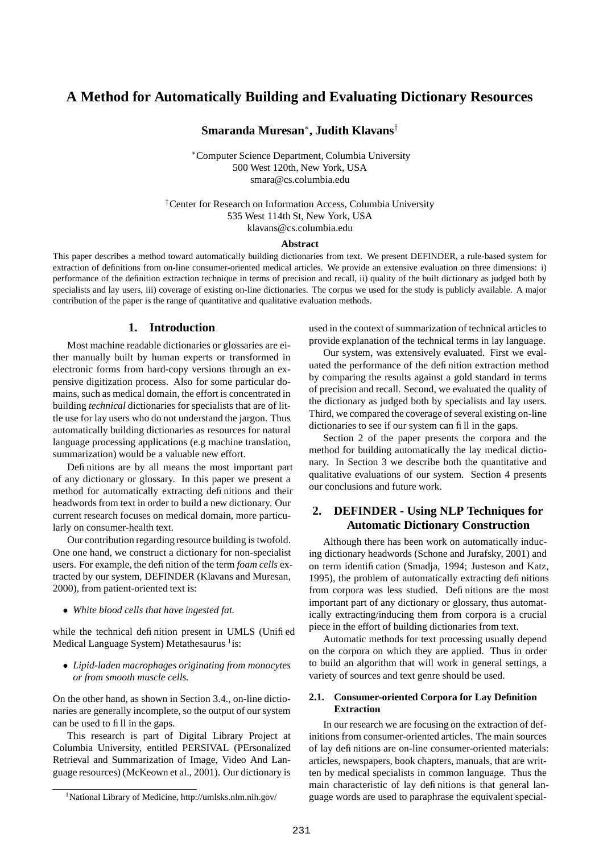# **A Method for Automatically Building and Evaluating Dictionary Resources**

**Smaranda Muresan**<sup>∗</sup> **, Judith Klavans**†

<sup>∗</sup>Computer Science Department, Columbia University 500 West 120th, New York, USA smara@cs.columbia.edu

†Center for Research on Information Access, Columbia University 535 West 114th St, New York, USA klavans@cs.columbia.edu

#### **Abstract**

This paper describes a method toward automatically building dictionaries from text. We present DEFINDER, a rule-based system for extraction of definitions from on-line consumer-oriented medical articles. We provide an extensive evaluation on three dimensions: i) performance of the definition extraction technique in terms of precision and recall, ii) quality of the built dictionary as judged both by specialists and lay users, iii) coverage of existing on-line dictionaries. The corpus we used for the study is publicly available. A major contribution of the paper is the range of quantitative and qualitative evaluation methods.

# **1. Introduction**

Most machine readable dictionaries or glossaries are either manually built by human experts or transformed in electronic forms from hard-copy versions through an expensive digitization process. Also for some particular domains, such as medical domain, the effort is concentrated in building *technical* dictionaries for specialists that are of little use for lay users who do not understand the jargon. Thus automatically building dictionaries as resources for natural language processing applications (e.g machine translation, summarization) would be a valuable new effort.

Definitions are by all means the most important part of any dictionary or glossary. In this paper we present a method for automatically extracting definitions and their headwords from text in order to build a new dictionary. Our current research focuses on medical domain, more particularly on consumer-health text.

Our contribution regarding resource building is twofold. One one hand, we construct a dictionary for non-specialist users. For example, the definition of the term *foam cells* extracted by our system, DEFINDER (Klavans and Muresan, 2000), from patient-oriented text is:

• *White blood cells that have ingested fat.*

while the technical definition present in UMLS (Unified Medical Language System) Metathesaurus <sup>1</sup>is:

• *Lipid-laden macrophages originating from monocytes or from smooth muscle cells.*

On the other hand, as shown in Section 3.4., on-line dictionaries are generally incomplete, so the output of our system can be used to fill in the gaps.

This research is part of Digital Library Project at Columbia University, entitled PERSIVAL (PErsonalized Retrieval and Summarization of Image, Video And Language resources) (McKeown et al., 2001). Our dictionary is used in the context of summarization of technical articles to provide explanation of the technical terms in lay language.

Our system, was extensively evaluated. First we evaluated the performance of the definition extraction method by comparing the results against a gold standard in terms of precision and recall. Second, we evaluated the quality of the dictionary as judged both by specialists and lay users. Third, we compared the coverage of several existing on-line dictionaries to see if our system can fill in the gaps.

Section 2 of the paper presents the corpora and the method for building automatically the lay medical dictionary. In Section 3 we describe both the quantitative and qualitative evaluations of our system. Section 4 presents our conclusions and future work.

# **2. DEFINDER - Using NLP Techniques for Automatic Dictionary Construction**

Although there has been work on automatically inducing dictionary headwords (Schone and Jurafsky, 2001) and on term identification (Smadja, 1994; Justeson and Katz, 1995), the problem of automatically extracting definitions from corpora was less studied. Definitions are the most important part of any dictionary or glossary, thus automatically extracting/inducing them from corpora is a crucial piece in the effort of building dictionaries from text.

Automatic methods for text processing usually depend on the corpora on which they are applied. Thus in order to build an algorithm that will work in general settings, a variety of sources and text genre should be used.

# **2.1. Consumer-oriented Corpora for Lay Definition Extraction**

In our research we are focusing on the extraction of definitions from consumer-oriented articles. The main sources of lay definitions are on-line consumer-oriented materials: articles, newspapers, book chapters, manuals, that are written by medical specialists in common language. Thus the main characteristic of lay definitions is that general language words are used to paraphrase the equivalent special-

<sup>1</sup>National Library of Medicine, http://umlsks.nlm.nih.gov/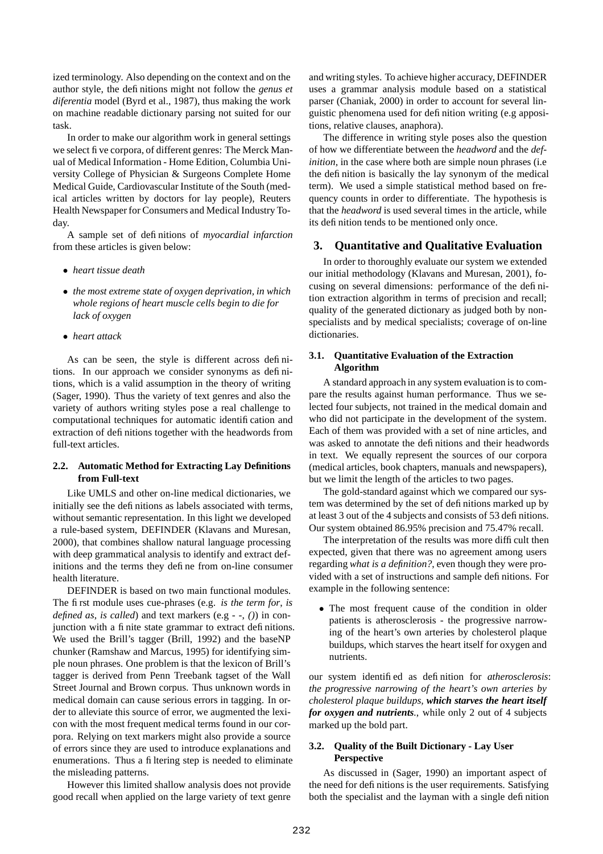ized terminology. Also depending on the context and on the author style, the definitions might not follow the *genus et diferentia* model (Byrd et al., 1987), thus making the work on machine readable dictionary parsing not suited for our task.

In order to make our algorithm work in general settings we select five corpora, of different genres: The Merck Manual of Medical Information - Home Edition, Columbia University College of Physician & Surgeons Complete Home Medical Guide, Cardiovascular Institute of the South (medical articles written by doctors for lay people), Reuters Health Newspaper for Consumers and Medical Industry Today.

A sample set of definitions of *myocardial infarction* from these articles is given below:

- *heart tissue death*
- *the most extreme state of oxygen deprivation, in which whole regions of heart muscle cells begin to die for lack of oxygen*
- *heart attack*

As can be seen, the style is different across definitions. In our approach we consider synonyms as definitions, which is a valid assumption in the theory of writing (Sager, 1990). Thus the variety of text genres and also the variety of authors writing styles pose a real challenge to computational techniques for automatic identification and extraction of definitions together with the headwords from full-text articles.

## **2.2. Automatic Method for Extracting Lay Definitions from Full-text**

Like UMLS and other on-line medical dictionaries, we initially see the definitions as labels associated with terms, without semantic representation. In this light we developed a rule-based system, DEFINDER (Klavans and Muresan, 2000), that combines shallow natural language processing with deep grammatical analysis to identify and extract definitions and the terms they define from on-line consumer health literature.

DEFINDER is based on two main functional modules. The first module uses cue-phrases (e.g. *is the term for*, *is defined as*, *is called*) and text markers (e.g *- -*, *()*) in conjunction with a finite state grammar to extract definitions. We used the Brill's tagger (Brill, 1992) and the baseNP chunker (Ramshaw and Marcus, 1995) for identifying simple noun phrases. One problem is that the lexicon of Brill's tagger is derived from Penn Treebank tagset of the Wall Street Journal and Brown corpus. Thus unknown words in medical domain can cause serious errors in tagging. In order to alleviate this source of error, we augmented the lexicon with the most frequent medical terms found in our corpora. Relying on text markers might also provide a source of errors since they are used to introduce explanations and enumerations. Thus a filtering step is needed to eliminate the misleading patterns.

However this limited shallow analysis does not provide good recall when applied on the large variety of text genre

and writing styles. To achieve higher accuracy, DEFINDER uses a grammar analysis module based on a statistical parser (Chaniak, 2000) in order to account for several linguistic phenomena used for definition writing (e.g appositions, relative clauses, anaphora).

The difference in writing style poses also the question of how we differentiate between the *headword* and the *definition*, in the case where both are simple noun phrases (i.e. the definition is basically the lay synonym of the medical term). We used a simple statistical method based on frequency counts in order to differentiate. The hypothesis is that the *headword* is used several times in the article, while its definition tends to be mentioned only once.

### **3. Quantitative and Qualitative Evaluation**

In order to thoroughly evaluate our system we extended our initial methodology (Klavans and Muresan, 2001), focusing on several dimensions: performance of the definition extraction algorithm in terms of precision and recall; quality of the generated dictionary as judged both by nonspecialists and by medical specialists; coverage of on-line dictionaries.

# **3.1. Quantitative Evaluation of the Extraction Algorithm**

A standard approach in any system evaluation is to compare the results against human performance. Thus we selected four subjects, not trained in the medical domain and who did not participate in the development of the system. Each of them was provided with a set of nine articles, and was asked to annotate the definitions and their headwords in text. We equally represent the sources of our corpora (medical articles, book chapters, manuals and newspapers), but we limit the length of the articles to two pages.

The gold-standard against which we compared our system was determined by the set of definitions marked up by at least 3 out of the 4 subjects and consists of 53 definitions. Our system obtained 86.95% precision and 75.47% recall.

The interpretation of the results was more difficult then expected, given that there was no agreement among users regarding *what is a definition?*, even though they were provided with a set of instructions and sample definitions. For example in the following sentence:

• The most frequent cause of the condition in older patients is atherosclerosis - the progressive narrowing of the heart's own arteries by cholesterol plaque buildups, which starves the heart itself for oxygen and nutrients.

our system identified as definition for *atherosclerosis*: *the progressive narrowing of the heart's own arteries by cholesterol plaque buildups, which starves the heart itself for oxygen and nutrients.*, while only 2 out of 4 subjects marked up the bold part.

# **3.2. Quality of the Built Dictionary - Lay User Perspective**

As discussed in (Sager, 1990) an important aspect of the need for definitions is the user requirements. Satisfying both the specialist and the layman with a single definition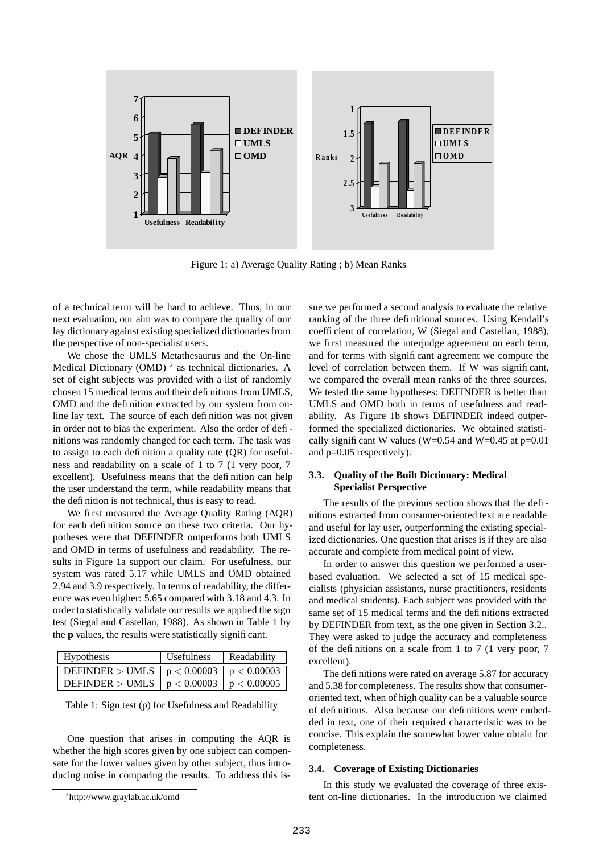

Figure 1: a) Average Quality Rating ; b) Mean Ranks

of a technical term will be hard to achieve. Thus, in our next evaluation, our aim was to compare the quality of our lay dictionary against existing specialized dictionaries from the perspective of non-specialist users.

We chose the UMLS Metathesaurus and the On-line Medical Dictionary (OMD)<sup>2</sup> as technical dictionaries. A set of eight subjects was provided with a list of randomly chosen 15 medical terms and their definitions from UMLS, OMD and the definition extracted by our system from online lay text. The source of each definition was not given in order not to bias the experiment. Also the order of definitions was randomly changed for each term. The task was to assign to each definition a quality rate (QR) for usefulness and readability on a scale of 1 to 7 (1 very poor, 7 excellent). Usefulness means that the definition can help the user understand the term, while readability means that the definition is not technical, thus is easy to read.

We first measured the Average Quality Rating (AQR) for each definition source on these two criteria. Our hypotheses were that DEFINDER outperforms both UMLS and OMD in terms of usefulness and readability. The results in Figure 1a support our claim. For usefulness, our system was rated 5.17 while UMLS and OMD obtained 2.94 and 3.9 respectively. In terms of readability, the difference was even higher: 5.65 compared with 3.18 and 4.3. In order to statistically validate our results we applied the sign test (Siegal and Castellan, 1988). As shown in Table 1 by the **p** values, the results were statistically significant.

| <b>Hypothesis</b>                            | <b>Usefulness</b> | Readability |
|----------------------------------------------|-------------------|-------------|
| DEFINDER > UMLS $ p < 0.00003   p < 0.00003$ |                   |             |
| DEFINDER > UMLS $ p < 0.00003   p < 0.00005$ |                   |             |

| Table 1: Sign test (p) for Usefulness and Readability |  |  |  |
|-------------------------------------------------------|--|--|--|
|-------------------------------------------------------|--|--|--|

One question that arises in computing the AQR is whether the high scores given by one subject can compensate for the lower values given by other subject, thus introducing noise in comparing the results. To address this is-

sue we performed a second analysis to evaluate the relative ranking of the three definitional sources. Using Kendall's coefficient of correlation, W (Siegal and Castellan, 1988), we first measured the interjudge agreement on each term, and for terms with significant agreement we compute the level of correlation between them. If W was significant, we compared the overall mean ranks of the three sources. We tested the same hypotheses: DEFINDER is better than UMLS and OMD both in terms of usefulness and readability. As Figure 1b shows DEFINDER indeed outperformed the specialized dictionaries. We obtained statistically significant W values (W=0.54 and W=0.45 at  $p=0.01$ ) and p=0.05 respectively).

## **3.3. Quality of the Built Dictionary: Medical Specialist Perspective**

The results of the previous section shows that the definitions extracted from consumer-oriented text are readable and useful for lay user, outperforming the existing specialized dictionaries. One question that arises is if they are also accurate and complete from medical point of view.

In order to answer this question we performed a userbased evaluation. We selected a set of 15 medical specialists (physician assistants, nurse practitioners, residents and medical students). Each subject was provided with the same set of 15 medical terms and the definitions extracted by DEFINDER from text, as the one given in Section 3.2.. They were asked to judge the accuracy and completeness of the definitions on a scale from 1 to 7 (1 very poor, 7 excellent).

The definitions were rated on average 5.87 for accuracy and 5.38 for completeness. The results show that consumeroriented text, when of high quality can be a valuable source of definitions. Also because our definitions were embedded in text, one of their required characteristic was to be concise. This explain the somewhat lower value obtain for completeness.

#### **3.4. Coverage of Existing Dictionaries**

In this study we evaluated the coverage of three existent on-line dictionaries. In the introduction we claimed

<sup>2</sup> http://www.graylab.ac.uk/omd